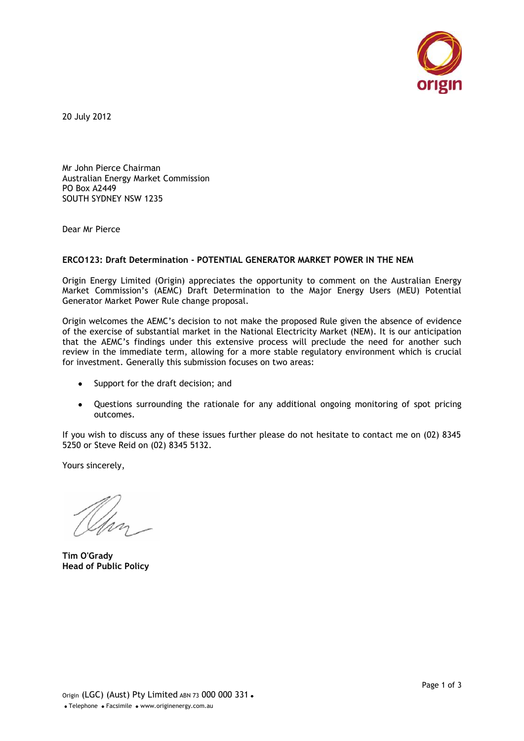

20 July 2012

Mr John Pierce Chairman Australian Energy Market Commission PO Box A2449 SOUTH SYDNEY NSW 1235

Dear Mr Pierce

## **ERCO123: Draft Determination - POTENTIAL GENERATOR MARKET POWER IN THE NEM**

Origin Energy Limited (Origin) appreciates the opportunity to comment on the Australian Energy Market Commission's (AEMC) Draft Determination to the Major Energy Users (MEU) Potential Generator Market Power Rule change proposal.

Origin welcomes the AEMC's decision to not make the proposed Rule given the absence of evidence of the exercise of substantial market in the National Electricity Market (NEM). It is our anticipation that the AEMC's findings under this extensive process will preclude the need for another such review in the immediate term, allowing for a more stable regulatory environment which is crucial for investment. Generally this submission focuses on two areas:

- Support for the draft decision; and
- Questions surrounding the rationale for any additional ongoing monitoring of spot pricing outcomes.

If you wish to discuss any of these issues further please do not hesitate to contact me on (02) 8345 5250 or Steve Reid on (02) 8345 5132.

Yours sincerely,

**Tim O'Grady Head of Public Policy**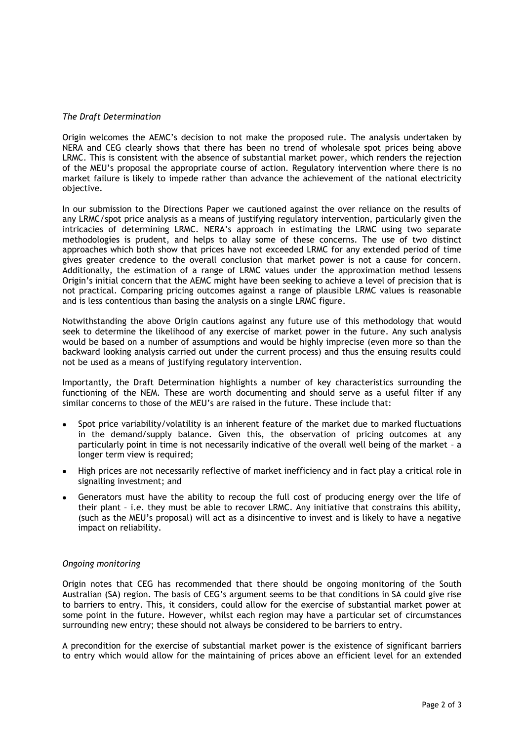## *The Draft Determination*

Origin welcomes the AEMC's decision to not make the proposed rule. The analysis undertaken by NERA and CEG clearly shows that there has been no trend of wholesale spot prices being above LRMC. This is consistent with the absence of substantial market power, which renders the rejection of the MEU's proposal the appropriate course of action. Regulatory intervention where there is no market failure is likely to impede rather than advance the achievement of the national electricity objective.

In our submission to the Directions Paper we cautioned against the over reliance on the results of any LRMC/spot price analysis as a means of justifying regulatory intervention, particularly given the intricacies of determining LRMC. NERA's approach in estimating the LRMC using two separate methodologies is prudent, and helps to allay some of these concerns. The use of two distinct approaches which both show that prices have not exceeded LRMC for any extended period of time gives greater credence to the overall conclusion that market power is not a cause for concern. Additionally, the estimation of a range of LRMC values under the approximation method lessens Origin's initial concern that the AEMC might have been seeking to achieve a level of precision that is not practical. Comparing pricing outcomes against a range of plausible LRMC values is reasonable and is less contentious than basing the analysis on a single LRMC figure.

Notwithstanding the above Origin cautions against any future use of this methodology that would seek to determine the likelihood of any exercise of market power in the future. Any such analysis would be based on a number of assumptions and would be highly imprecise (even more so than the backward looking analysis carried out under the current process) and thus the ensuing results could not be used as a means of justifying regulatory intervention.

Importantly, the Draft Determination highlights a number of key characteristics surrounding the functioning of the NEM. These are worth documenting and should serve as a useful filter if any similar concerns to those of the MEU's are raised in the future. These include that:

- Spot price variability/volatility is an inherent feature of the market due to marked fluctuations in the demand/supply balance. Given this, the observation of pricing outcomes at any particularly point in time is not necessarily indicative of the overall well being of the market – a longer term view is required;
- High prices are not necessarily reflective of market inefficiency and in fact play a critical role in signalling investment; and
- Generators must have the ability to recoup the full cost of producing energy over the life of their plant – i.e. they must be able to recover LRMC. Any initiative that constrains this ability, (such as the MEU's proposal) will act as a disincentive to invest and is likely to have a negative impact on reliability.

## *Ongoing monitoring*

Origin notes that CEG has recommended that there should be ongoing monitoring of the South Australian (SA) region. The basis of CEG's argument seems to be that conditions in SA could give rise to barriers to entry. This, it considers, could allow for the exercise of substantial market power at some point in the future. However, whilst each region may have a particular set of circumstances surrounding new entry; these should not always be considered to be barriers to entry.

A precondition for the exercise of substantial market power is the existence of significant barriers to entry which would allow for the maintaining of prices above an efficient level for an extended